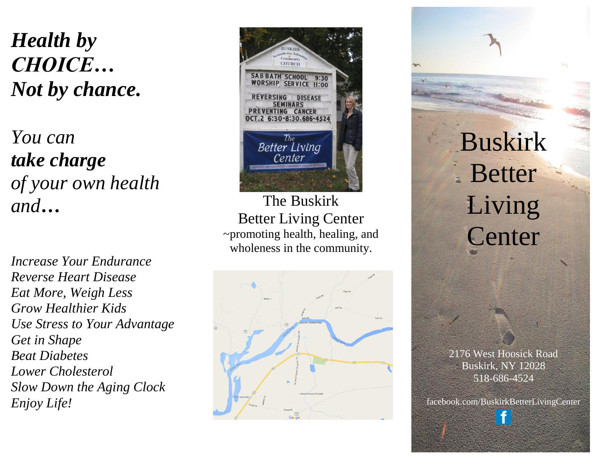*Health by CHOICE… Not by chance.*

*You can take charge of your own health and…*

*Increase Your Endurance Reverse Heart Disease Eat More, Weigh Less Grow Healthier Kids Use Stress to Your Advantage Get in Shape Beat Diabetes Lower Cholesterol Slow Down the Aging Clock Enjoy Life!*



The Buskirk Better Living Center ~promoting health, healing, and wholeness in the community.



# Buskirk Better Living Center

2176 West Hoosick Road Buskirk, NY 12028 518-686-4524

facebook.com/BuskirkBetterLivingCenter